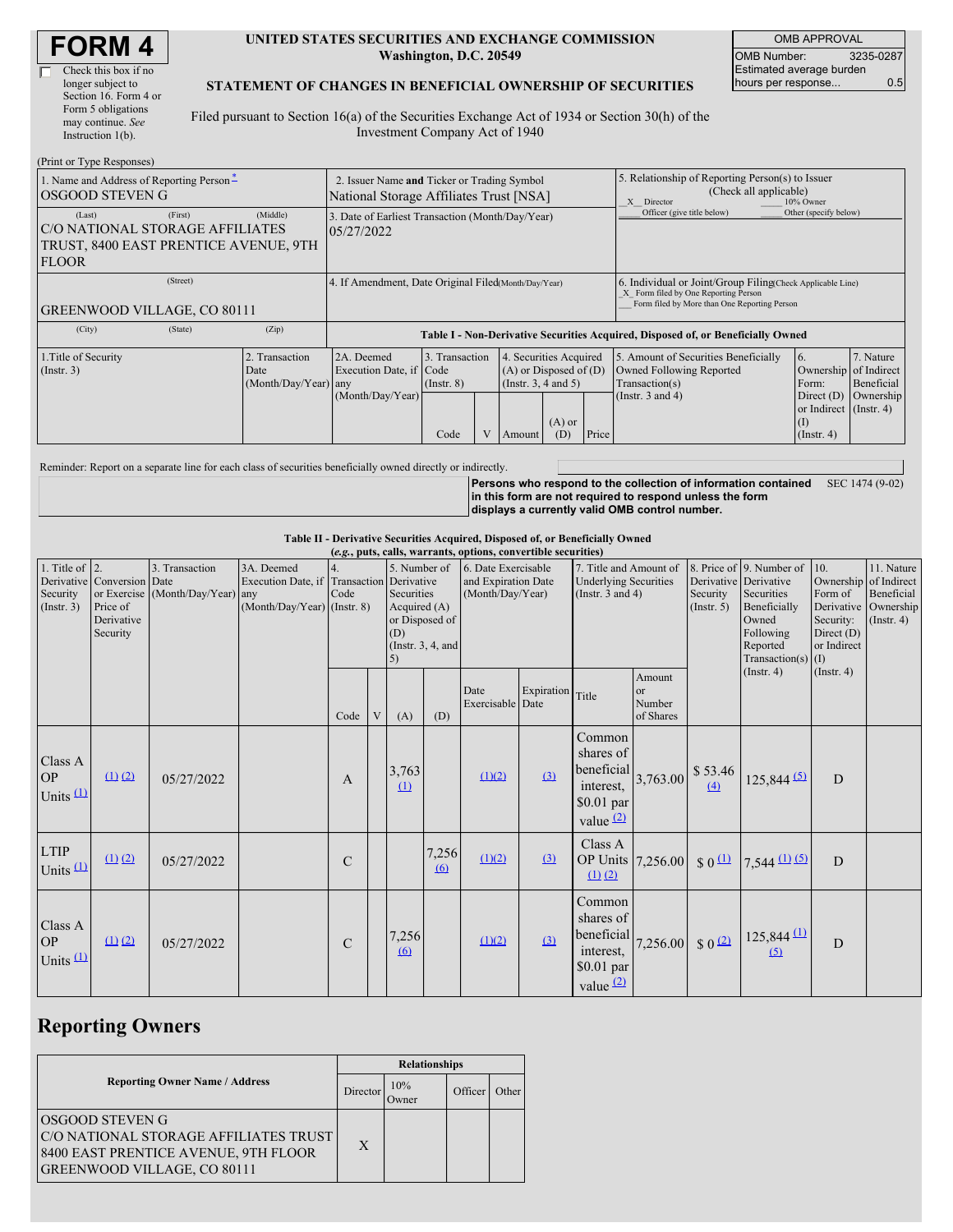| <b>FORM4</b> |
|--------------|
|--------------|

#### **UNITED STATES SECURITIES AND EXCHANGE COMMISSION Washington, D.C. 20549**

OMB APPROVAL OMB Number: 3235-0287 Estimated average burden hours per response... 0.5

#### **STATEMENT OF CHANGES IN BENEFICIAL OWNERSHIP OF SECURITIES**

Filed pursuant to Section 16(a) of the Securities Exchange Act of 1934 or Section 30(h) of the Investment Company Act of 1940

| (Print or Type Responses)                                                                          |                                                                                                                                                                                                              |       |                                                                                  |      |                                                                                           |                                      |                                                                                                       |                       |                                                                                                                                                    |                                                                   |           |  |
|----------------------------------------------------------------------------------------------------|--------------------------------------------------------------------------------------------------------------------------------------------------------------------------------------------------------------|-------|----------------------------------------------------------------------------------|------|-------------------------------------------------------------------------------------------|--------------------------------------|-------------------------------------------------------------------------------------------------------|-----------------------|----------------------------------------------------------------------------------------------------------------------------------------------------|-------------------------------------------------------------------|-----------|--|
| 1. Name and Address of Reporting Person <sup>*</sup><br>OSGOOD STEVEN G                            | 2. Issuer Name and Ticker or Trading Symbol<br>National Storage Affiliates Trust [NSA]                                                                                                                       |       |                                                                                  |      |                                                                                           |                                      | 5. Relationship of Reporting Person(s) to Issuer<br>(Check all applicable)<br>10% Owner<br>X Director |                       |                                                                                                                                                    |                                                                   |           |  |
| (Last)<br>C/O NATIONAL STORAGE AFFILIATES<br>TRUST, 8400 EAST PRENTICE AVENUE, 9TH<br><b>FLOOR</b> | 3. Date of Earliest Transaction (Month/Day/Year)<br>05/27/2022                                                                                                                                               |       |                                                                                  |      |                                                                                           |                                      | Officer (give title below)                                                                            | Other (specify below) |                                                                                                                                                    |                                                                   |           |  |
| (Street)<br><b>GREENWOOD VILLAGE, CO 80111</b>                                                     |                                                                                                                                                                                                              |       | 4. If Amendment, Date Original Filed Month/Day/Year)                             |      |                                                                                           |                                      |                                                                                                       |                       | 6. Individual or Joint/Group Filing Check Applicable Line)<br>X Form filed by One Reporting Person<br>Form filed by More than One Reporting Person |                                                                   |           |  |
| (City)                                                                                             | (State)                                                                                                                                                                                                      | (Zip) | Table I - Non-Derivative Securities Acquired, Disposed of, or Beneficially Owned |      |                                                                                           |                                      |                                                                                                       |                       |                                                                                                                                                    |                                                                   |           |  |
| 1. Title of Security<br>$($ Instr. 3 $)$                                                           | 3. Transaction<br>2. Transaction<br>2A. Deemed<br>4. Securities Acquired<br>$(A)$ or Disposed of $(D)$<br>Execution Date, if Code<br>Date<br>(Month/Day/Year) any<br>(Insert. 3, 4 and 5)<br>$($ Instr. $8)$ |       |                                                                                  |      | 5. Amount of Securities Beneficially<br><b>Owned Following Reported</b><br>Transaction(s) | 6.<br>Ownership of Indirect<br>Form: | 7. Nature<br>Beneficial                                                                               |                       |                                                                                                                                                    |                                                                   |           |  |
|                                                                                                    |                                                                                                                                                                                                              |       | (Month/Day/Year)                                                                 | Code |                                                                                           | Amount                               | $(A)$ or<br>(D)                                                                                       | Price                 | (Instr. $3$ and $4$ )                                                                                                                              | Direct $(D)$<br>or Indirect (Instr. 4)<br>(I)<br>$($ Instr. 4 $)$ | Ownership |  |

Reminder: Report on a separate line for each class of securities beneficially owned directly or indirectly.

**Persons who respond to the collection of information contained** SEC 1474 (9-02) **in this form are not required to respond unless the form displays a currently valid OMB control number.**

**Table II - Derivative Securities Acquired, Disposed of, or Beneficially Owned**

|                                                   | (e.g., puts, calls, warrants, options, convertible securities)   |                                                    |                                                                                          |               |   |                                                                                                   |                   |                                                                |            |                                                                                 |                                     |                                |                                                                                                                                           |                                                                                                   |                                                           |
|---------------------------------------------------|------------------------------------------------------------------|----------------------------------------------------|------------------------------------------------------------------------------------------|---------------|---|---------------------------------------------------------------------------------------------------|-------------------|----------------------------------------------------------------|------------|---------------------------------------------------------------------------------|-------------------------------------|--------------------------------|-------------------------------------------------------------------------------------------------------------------------------------------|---------------------------------------------------------------------------------------------------|-----------------------------------------------------------|
| 1. Title of $\vert$ 2.<br>Security<br>(Insert. 3) | Derivative Conversion Date<br>Price of<br>Derivative<br>Security | 3. Transaction<br>or Exercise (Month/Day/Year) any | 3A. Deemed<br>Execution Date, if Transaction Derivative<br>$(Month/Day/Year)$ (Instr. 8) | Code          |   | 5. Number of<br>Securities<br>Acquired (A)<br>or Disposed of<br>(D)<br>(Instr. $3, 4$ , and<br>5) |                   | 6. Date Exercisable<br>and Expiration Date<br>(Month/Day/Year) |            | 7. Title and Amount of<br><b>Underlying Securities</b><br>(Instr. $3$ and $4$ ) |                                     | Security<br>(Insert. 5)        | 8. Price of 9. Number of<br>Derivative Derivative<br>Securities<br>Beneficially<br>Owned<br>Following<br>Reported<br>Transaction(s) $(I)$ | 10.<br>Ownership of Indirect<br>Form of<br>Derivative<br>Security:<br>Direct $(D)$<br>or Indirect | 11. Nature<br>Beneficial<br>Ownership<br>$($ Instr. 4 $)$ |
|                                                   |                                                                  |                                                    |                                                                                          | Code          | V | (A)                                                                                               | (D)               | Date<br>Exercisable Date                                       | Expiration | Title                                                                           | Amount<br>or<br>Number<br>of Shares |                                | $($ Instr. 4 $)$                                                                                                                          | $($ Instr. 4 $)$                                                                                  |                                                           |
| Class A<br><b>OP</b><br>Units $(1)$               | (1) (2)                                                          | 05/27/2022                                         |                                                                                          | $\mathbf{A}$  |   | 3,763<br>$\Omega$                                                                                 |                   | (1)(2)                                                         | (3)        | Common<br>shares of<br>beneficial<br>interest,<br>$$0.01$ par<br>value $(2)$    | 3,763.00                            | \$53.46<br>(4)                 | $125,844$ (5)                                                                                                                             | D                                                                                                 |                                                           |
| <b>LTIP</b><br>Units $(1)$                        | $(1)$ $(2)$                                                      | 05/27/2022                                         |                                                                                          | $\mathbf C$   |   |                                                                                                   | 7,256<br>$\omega$ | (1)(2)                                                         | $\Omega$   | Class A<br>OP Units 7,256.00<br>$(1)$ $(2)$                                     |                                     | $\frac{1}{2}$ 0 $\frac{11}{2}$ | $7,544$ (1) (5)                                                                                                                           | D                                                                                                 |                                                           |
| Class A<br><b>OP</b><br>Units $(1)$               | $(1)$ $(2)$                                                      | 05/27/2022                                         |                                                                                          | $\mathcal{C}$ |   | 7,256<br>6                                                                                        |                   | (1)(2)                                                         | (3)        | Common<br>shares of<br>beneficial<br>interest.<br>\$0.01 par<br>value $(2)$     | 7,256.00                            | \$0 <sup>(2)</sup>             | $125,844 \stackrel{(1)}{=}$<br>(5)                                                                                                        | D                                                                                                 |                                                           |

# **Reporting Owners**

|                                                                                                                                               | <b>Relationships</b> |              |         |       |  |  |  |
|-----------------------------------------------------------------------------------------------------------------------------------------------|----------------------|--------------|---------|-------|--|--|--|
| <b>Reporting Owner Name / Address</b>                                                                                                         | Director             | 10%<br>Owner | Officer | Other |  |  |  |
| <b>OSGOOD STEVEN G</b><br>C/O NATIONAL STORAGE AFFILIATES TRUST<br>8400 EAST PRENTICE AVENUE, 9TH FLOOR<br><b>GREENWOOD VILLAGE, CO 80111</b> | X                    |              |         |       |  |  |  |